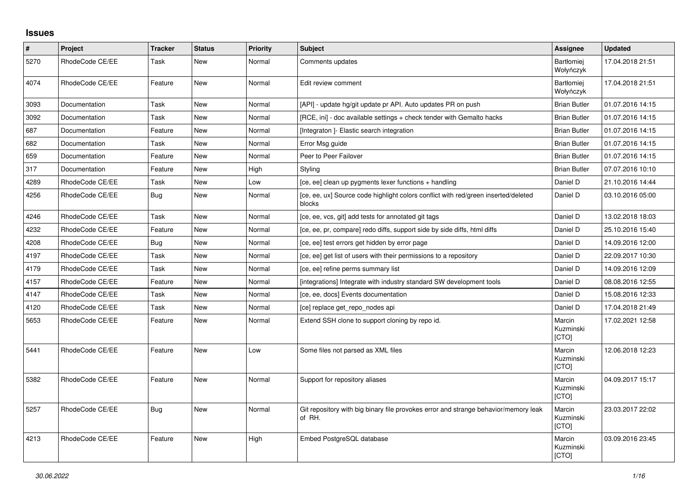## **Issues**

| $\pmb{\#}$ | Project         | <b>Tracker</b> | <b>Status</b> | <b>Priority</b> | <b>Subject</b>                                                                                | Assignee                       | <b>Updated</b>   |
|------------|-----------------|----------------|---------------|-----------------|-----------------------------------------------------------------------------------------------|--------------------------------|------------------|
| 5270       | RhodeCode CE/EE | Task           | New           | Normal          | Comments updates                                                                              | <b>Bartłomiej</b><br>Wołyńczyk | 17.04.2018 21:51 |
| 4074       | RhodeCode CE/EE | Feature        | <b>New</b>    | Normal          | Edit review comment                                                                           | Bartłomiej<br>Wołyńczyk        | 17.04.2018 21:51 |
| 3093       | Documentation   | Task           | New           | Normal          | [API] - update hg/git update pr API. Auto updates PR on push                                  | <b>Brian Butler</b>            | 01.07.2016 14:15 |
| 3092       | Documentation   | Task           | New           | Normal          | [RCE, ini] - doc available settings + check tender with Gemalto hacks                         | <b>Brian Butler</b>            | 01.07.2016 14:15 |
| 687        | Documentation   | Feature        | <b>New</b>    | Normal          | [Integraton] - Elastic search integration                                                     | <b>Brian Butler</b>            | 01.07.2016 14:15 |
| 682        | Documentation   | Task           | New           | Normal          | Error Msg guide                                                                               | <b>Brian Butler</b>            | 01.07.2016 14:15 |
| 659        | Documentation   | Feature        | New           | Normal          | Peer to Peer Failover                                                                         | <b>Brian Butler</b>            | 01.07.2016 14:15 |
| 317        | Documentation   | Feature        | <b>New</b>    | High            | Styling                                                                                       | <b>Brian Butler</b>            | 07.07.2016 10:10 |
| 4289       | RhodeCode CE/EE | Task           | <b>New</b>    | Low             | [ce, ee] clean up pygments lexer functions + handling                                         | Daniel D                       | 21.10.2016 14:44 |
| 4256       | RhodeCode CE/EE | Bug            | New           | Normal          | [ce, ee, ux] Source code highlight colors conflict with red/green inserted/deleted<br>blocks  | Daniel D                       | 03.10.2016 05:00 |
| 4246       | RhodeCode CE/EE | Task           | <b>New</b>    | Normal          | [ce, ee, vcs, git] add tests for annotated git tags                                           | Daniel D                       | 13.02.2018 18:03 |
| 4232       | RhodeCode CE/EE | Feature        | <b>New</b>    | Normal          | [ce, ee, pr, compare] redo diffs, support side by side diffs, html diffs                      | Daniel D                       | 25.10.2016 15:40 |
| 4208       | RhodeCode CE/EE | <b>Bug</b>     | New           | Normal          | [ce, ee] test errors get hidden by error page                                                 | Daniel D                       | 14.09.2016 12:00 |
| 4197       | RhodeCode CE/EE | Task           | <b>New</b>    | Normal          | [ce, ee] get list of users with their permissions to a repository                             | Daniel D                       | 22.09.2017 10:30 |
| 4179       | RhodeCode CE/EE | Task           | <b>New</b>    | Normal          | [ce, ee] refine perms summary list                                                            | Daniel D                       | 14.09.2016 12:09 |
| 4157       | RhodeCode CE/EE | Feature        | <b>New</b>    | Normal          | [integrations] Integrate with industry standard SW development tools                          | Daniel D                       | 08.08.2016 12:55 |
| 4147       | RhodeCode CE/EE | Task           | <b>New</b>    | Normal          | [ce, ee, docs] Events documentation                                                           | Daniel D                       | 15.08.2016 12:33 |
| 4120       | RhodeCode CE/EE | Task           | New           | Normal          | [ce] replace get_repo_nodes api                                                               | Daniel D                       | 17.04.2018 21:49 |
| 5653       | RhodeCode CE/EE | Feature        | New           | Normal          | Extend SSH clone to support cloning by repo id.                                               | Marcin<br>Kuzminski<br>[CTO]   | 17.02.2021 12:58 |
| 5441       | RhodeCode CE/EE | Feature        | New           | Low             | Some files not parsed as XML files                                                            | Marcin<br>Kuzminski<br>[CTO]   | 12.06.2018 12:23 |
| 5382       | RhodeCode CE/EE | Feature        | <b>New</b>    | Normal          | Support for repository aliases                                                                | Marcin<br>Kuzminski<br>[CTO]   | 04.09.2017 15:17 |
| 5257       | RhodeCode CE/EE | Bug            | <b>New</b>    | Normal          | Git repository with big binary file provokes error and strange behavior/memory leak<br>of RH. | Marcin<br>Kuzminski<br>[CTO]   | 23.03.2017 22:02 |
| 4213       | RhodeCode CE/EE | Feature        | New           | High            | Embed PostgreSQL database                                                                     | Marcin<br>Kuzminski<br>[CTO]   | 03.09.2016 23:45 |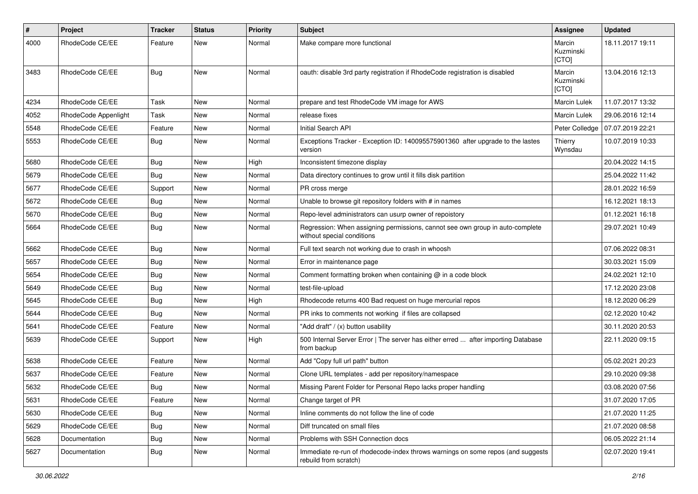| $\pmb{\#}$ | Project              | <b>Tracker</b> | <b>Status</b> | <b>Priority</b> | <b>Subject</b>                                                                                              | Assignee                     | <b>Updated</b>   |
|------------|----------------------|----------------|---------------|-----------------|-------------------------------------------------------------------------------------------------------------|------------------------------|------------------|
| 4000       | RhodeCode CE/EE      | Feature        | New           | Normal          | Make compare more functional                                                                                | Marcin<br>Kuzminski<br>[CTO] | 18.11.2017 19:11 |
| 3483       | RhodeCode CE/EE      | Bug            | New           | Normal          | oauth: disable 3rd party registration if RhodeCode registration is disabled                                 | Marcin<br>Kuzminski<br>[CTO] | 13.04.2016 12:13 |
| 4234       | RhodeCode CE/EE      | Task           | New           | Normal          | prepare and test RhodeCode VM image for AWS                                                                 | Marcin Lulek                 | 11.07.2017 13:32 |
| 4052       | RhodeCode Appenlight | Task           | New           | Normal          | release fixes                                                                                               | <b>Marcin Lulek</b>          | 29.06.2016 12:14 |
| 5548       | RhodeCode CE/EE      | Feature        | <b>New</b>    | Normal          | Initial Search API                                                                                          | Peter Colledge               | 07.07.2019 22:21 |
| 5553       | RhodeCode CE/EE      | <b>Bug</b>     | New           | Normal          | Exceptions Tracker - Exception ID: 140095575901360 after upgrade to the lastes<br>version                   | Thierry<br>Wynsdau           | 10.07.2019 10:33 |
| 5680       | RhodeCode CE/EE      | Bug            | <b>New</b>    | High            | Inconsistent timezone display                                                                               |                              | 20.04.2022 14:15 |
| 5679       | RhodeCode CE/EE      | Bug            | <b>New</b>    | Normal          | Data directory continues to grow until it fills disk partition                                              |                              | 25.04.2022 11:42 |
| 5677       | RhodeCode CE/EE      | Support        | New           | Normal          | PR cross merge                                                                                              |                              | 28.01.2022 16:59 |
| 5672       | RhodeCode CE/EE      | Bug            | <b>New</b>    | Normal          | Unable to browse git repository folders with # in names                                                     |                              | 16.12.2021 18:13 |
| 5670       | RhodeCode CE/EE      | Bug            | New           | Normal          | Repo-level administrators can usurp owner of repoistory                                                     |                              | 01.12.2021 16:18 |
| 5664       | RhodeCode CE/EE      | <b>Bug</b>     | <b>New</b>    | Normal          | Regression: When assigning permissions, cannot see own group in auto-complete<br>without special conditions |                              | 29.07.2021 10:49 |
| 5662       | RhodeCode CE/EE      | <b>Bug</b>     | New           | Normal          | Full text search not working due to crash in whoosh                                                         |                              | 07.06.2022 08:31 |
| 5657       | RhodeCode CE/EE      | Bug            | New           | Normal          | Error in maintenance page                                                                                   |                              | 30.03.2021 15:09 |
| 5654       | RhodeCode CE/EE      | Bug            | <b>New</b>    | Normal          | Comment formatting broken when containing @ in a code block                                                 |                              | 24.02.2021 12:10 |
| 5649       | RhodeCode CE/EE      | <b>Bug</b>     | New           | Normal          | test-file-upload                                                                                            |                              | 17.12.2020 23:08 |
| 5645       | RhodeCode CE/EE      | Bug            | <b>New</b>    | High            | Rhodecode returns 400 Bad request on huge mercurial repos                                                   |                              | 18.12.2020 06:29 |
| 5644       | RhodeCode CE/EE      | Bug            | New           | Normal          | PR inks to comments not working if files are collapsed                                                      |                              | 02.12.2020 10:42 |
| 5641       | RhodeCode CE/EE      | Feature        | <b>New</b>    | Normal          | "Add draft" / (x) button usability                                                                          |                              | 30.11.2020 20:53 |
| 5639       | RhodeCode CE/EE      | Support        | <b>New</b>    | High            | 500 Internal Server Error   The server has either erred  after importing Database<br>from backup            |                              | 22.11.2020 09:15 |
| 5638       | RhodeCode CE/EE      | Feature        | New           | Normal          | Add "Copy full url path" button                                                                             |                              | 05.02.2021 20:23 |
| 5637       | RhodeCode CE/EE      | Feature        | <b>New</b>    | Normal          | Clone URL templates - add per repository/namespace                                                          |                              | 29.10.2020 09:38 |
| 5632       | RhodeCode CE/EE      | <b>Bug</b>     | New           | Normal          | Missing Parent Folder for Personal Repo lacks proper handling                                               |                              | 03.08.2020 07:56 |
| 5631       | RhodeCode CE/EE      | Feature        | New           | Normal          | Change target of PR                                                                                         |                              | 31.07.2020 17:05 |
| 5630       | RhodeCode CE/EE      | <b>Bug</b>     | New           | Normal          | Inline comments do not follow the line of code                                                              |                              | 21.07.2020 11:25 |
| 5629       | RhodeCode CE/EE      | Bug            | <b>New</b>    | Normal          | Diff truncated on small files                                                                               |                              | 21.07.2020 08:58 |
| 5628       | Documentation        | <b>Bug</b>     | New           | Normal          | Problems with SSH Connection docs                                                                           |                              | 06.05.2022 21:14 |
| 5627       | Documentation        | Bug            | New           | Normal          | Immediate re-run of rhodecode-index throws warnings on some repos (and suggests)<br>rebuild from scratch)   |                              | 02.07.2020 19:41 |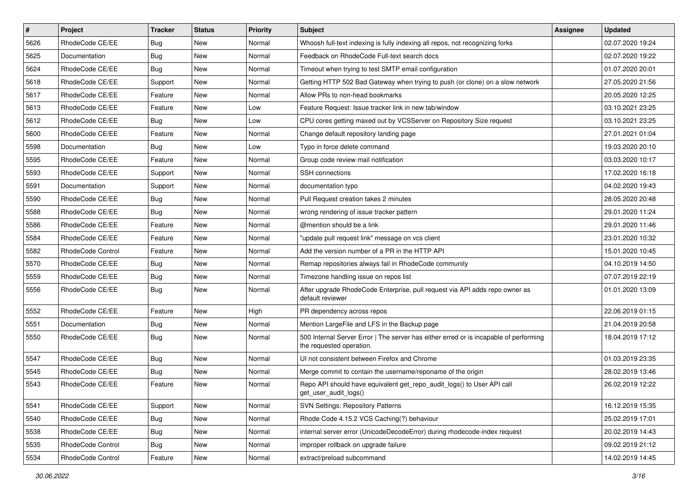| $\sharp$ | Project                  | <b>Tracker</b> | <b>Status</b> | Priority | <b>Subject</b>                                                                                                    | <b>Assignee</b> | <b>Updated</b>   |
|----------|--------------------------|----------------|---------------|----------|-------------------------------------------------------------------------------------------------------------------|-----------------|------------------|
| 5626     | RhodeCode CE/EE          | <b>Bug</b>     | New           | Normal   | Whoosh full-text indexing is fully indexing all repos, not recognizing forks                                      |                 | 02.07.2020 19:24 |
| 5625     | Documentation            | Bug            | <b>New</b>    | Normal   | Feedback on RhodeCode Full-text search docs                                                                       |                 | 02.07.2020 19:22 |
| 5624     | RhodeCode CE/EE          | Bug            | New           | Normal   | Timeout when trying to test SMTP email configuration                                                              |                 | 01.07.2020 20:01 |
| 5618     | RhodeCode CE/EE          | Support        | <b>New</b>    | Normal   | Getting HTTP 502 Bad Gateway when trying to push (or clone) on a slow network                                     |                 | 27.05.2020 21:56 |
| 5617     | RhodeCode CE/EE          | Feature        | <b>New</b>    | Normal   | Allow PRs to non-head bookmarks                                                                                   |                 | 20.05.2020 12:25 |
| 5613     | RhodeCode CE/EE          | Feature        | New           | Low      | Feature Request: Issue tracker link in new tab/window                                                             |                 | 03.10.2021 23:25 |
| 5612     | RhodeCode CE/EE          | Bug            | New           | Low      | CPU cores getting maxed out by VCSServer on Repository Size request                                               |                 | 03.10.2021 23:25 |
| 5600     | RhodeCode CE/EE          | Feature        | <b>New</b>    | Normal   | Change default repository landing page                                                                            |                 | 27.01.2021 01:04 |
| 5598     | Documentation            | Bug            | New           | Low      | Typo in force delete command                                                                                      |                 | 19.03.2020 20:10 |
| 5595     | RhodeCode CE/EE          | Feature        | <b>New</b>    | Normal   | Group code review mail notification                                                                               |                 | 03.03.2020 10:17 |
| 5593     | RhodeCode CE/EE          | Support        | New           | Normal   | <b>SSH</b> connections                                                                                            |                 | 17.02.2020 16:18 |
| 5591     | Documentation            | Support        | New           | Normal   | documentation typo                                                                                                |                 | 04.02.2020 19:43 |
| 5590     | RhodeCode CE/EE          | Bug            | <b>New</b>    | Normal   | Pull Request creation takes 2 minutes                                                                             |                 | 28.05.2020 20:48 |
| 5588     | RhodeCode CE/EE          | <b>Bug</b>     | <b>New</b>    | Normal   | wrong rendering of issue tracker pattern                                                                          |                 | 29.01.2020 11:24 |
| 5586     | RhodeCode CE/EE          | Feature        | <b>New</b>    | Normal   | @mention should be a link                                                                                         |                 | 29.01.2020 11:46 |
| 5584     | RhodeCode CE/EE          | Feature        | New           | Normal   | "update pull request link" message on vcs client                                                                  |                 | 23.01.2020 10:32 |
| 5582     | <b>RhodeCode Control</b> | Feature        | New           | Normal   | Add the version number of a PR in the HTTP API                                                                    |                 | 15.01.2020 10:45 |
| 5570     | RhodeCode CE/EE          | Bug            | <b>New</b>    | Normal   | Remap repositories always fail in RhodeCode community                                                             |                 | 04.10.2019 14:50 |
| 5559     | RhodeCode CE/EE          | <b>Bug</b>     | New           | Normal   | Timezone handling issue on repos list                                                                             |                 | 07.07.2019 22:19 |
| 5556     | RhodeCode CE/EE          | Bug            | New           | Normal   | After upgrade RhodeCode Enterprise, pull request via API adds repo owner as<br>default reviewer                   |                 | 01.01.2020 13:09 |
| 5552     | RhodeCode CE/EE          | Feature        | <b>New</b>    | High     | PR dependency across repos                                                                                        |                 | 22.06.2019 01:15 |
| 5551     | Documentation            | Bug            | New           | Normal   | Mention LargeFile and LFS in the Backup page                                                                      |                 | 21.04.2019 20:58 |
| 5550     | RhodeCode CE/EE          | Bug            | New           | Normal   | 500 Internal Server Error   The server has either erred or is incapable of performing<br>the requested operation. |                 | 18.04.2019 17:12 |
| 5547     | RhodeCode CE/EE          | Bug            | <b>New</b>    | Normal   | UI not consistent between Firefox and Chrome                                                                      |                 | 01.03.2019 23:35 |
| 5545     | RhodeCode CE/EE          | <b>Bug</b>     | New           | Normal   | Merge commit to contain the username/reponame of the origin                                                       |                 | 28.02.2019 13:46 |
| 5543     | RhodeCode CE/EE          | Feature        | New           | Normal   | Repo API should have equivalent get_repo_audit_logs() to User API call<br>get_user_audit_logs()                   |                 | 26.02.2019 12:22 |
| 5541     | RhodeCode CE/EE          | Support        | New           | Normal   | <b>SVN Settings: Repository Patterns</b>                                                                          |                 | 16.12.2019 15:35 |
| 5540     | RhodeCode CE/EE          | Bug            | New           | Normal   | Rhode Code 4.15.2 VCS Caching(?) behaviour                                                                        |                 | 25.02.2019 17:01 |
| 5538     | RhodeCode CE/EE          | Bug            | New           | Normal   | internal server error (UnicodeDecodeError) during rhodecode-index request                                         |                 | 20.02.2019 14:43 |
| 5535     | RhodeCode Control        | Bug            | New           | Normal   | improper rollback on upgrade failure                                                                              |                 | 09.02.2019 21:12 |
| 5534     | RhodeCode Control        | Feature        | New           | Normal   | extract/preload subcommand                                                                                        |                 | 14.02.2019 14:45 |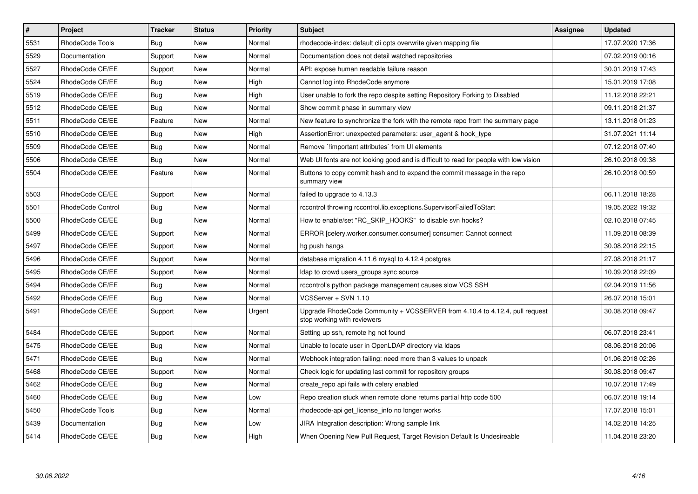| $\vert$ # | Project           | Tracker    | <b>Status</b> | <b>Priority</b> | <b>Subject</b>                                                                                             | <b>Assignee</b> | <b>Updated</b>   |
|-----------|-------------------|------------|---------------|-----------------|------------------------------------------------------------------------------------------------------------|-----------------|------------------|
| 5531      | RhodeCode Tools   | Bug        | New           | Normal          | rhodecode-index: default cli opts overwrite given mapping file                                             |                 | 17.07.2020 17:36 |
| 5529      | Documentation     | Support    | <b>New</b>    | Normal          | Documentation does not detail watched repositories                                                         |                 | 07.02.2019 00:16 |
| 5527      | RhodeCode CE/EE   | Support    | <b>New</b>    | Normal          | API: expose human readable failure reason                                                                  |                 | 30.01.2019 17:43 |
| 5524      | RhodeCode CE/EE   | Bug        | <b>New</b>    | High            | Cannot log into RhodeCode anymore                                                                          |                 | 15.01.2019 17:08 |
| 5519      | RhodeCode CE/EE   | Bug        | New           | High            | User unable to fork the repo despite setting Repository Forking to Disabled                                |                 | 11.12.2018 22:21 |
| 5512      | RhodeCode CE/EE   | Bug        | New           | Normal          | Show commit phase in summary view                                                                          |                 | 09.11.2018 21:37 |
| 5511      | RhodeCode CE/EE   | Feature    | <b>New</b>    | Normal          | New feature to synchronize the fork with the remote repo from the summary page                             |                 | 13.11.2018 01:23 |
| 5510      | RhodeCode CE/EE   | Bug        | <b>New</b>    | High            | AssertionError: unexpected parameters: user agent & hook type                                              |                 | 31.07.2021 11:14 |
| 5509      | RhodeCode CE/EE   | Bug        | New           | Normal          | Remove `!important attributes` from UI elements                                                            |                 | 07.12.2018 07:40 |
| 5506      | RhodeCode CE/EE   | <b>Bug</b> | New           | Normal          | Web UI fonts are not looking good and is difficult to read for people with low vision                      |                 | 26.10.2018 09:38 |
| 5504      | RhodeCode CE/EE   | Feature    | New           | Normal          | Buttons to copy commit hash and to expand the commit message in the repo<br>summary view                   |                 | 26.10.2018 00:59 |
| 5503      | RhodeCode CE/EE   | Support    | <b>New</b>    | Normal          | failed to upgrade to 4.13.3                                                                                |                 | 06.11.2018 18:28 |
| 5501      | RhodeCode Control | Bug        | New           | Normal          | rccontrol throwing rccontrol.lib.exceptions.SupervisorFailedToStart                                        |                 | 19.05.2022 19:32 |
| 5500      | RhodeCode CE/EE   | Bug        | New           | Normal          | How to enable/set "RC SKIP HOOKS" to disable svn hooks?                                                    |                 | 02.10.2018 07:45 |
| 5499      | RhodeCode CE/EE   | Support    | <b>New</b>    | Normal          | ERROR [celery.worker.consumer.consumer] consumer: Cannot connect                                           |                 | 11.09.2018 08:39 |
| 5497      | RhodeCode CE/EE   | Support    | New           | Normal          | hg push hangs                                                                                              |                 | 30.08.2018 22:15 |
| 5496      | RhodeCode CE/EE   | Support    | <b>New</b>    | Normal          | database migration 4.11.6 mysql to 4.12.4 postgres                                                         |                 | 27.08.2018 21:17 |
| 5495      | RhodeCode CE/EE   | Support    | New           | Normal          | Idap to crowd users groups sync source                                                                     |                 | 10.09.2018 22:09 |
| 5494      | RhodeCode CE/EE   | Bug        | <b>New</b>    | Normal          | rccontrol's python package management causes slow VCS SSH                                                  |                 | 02.04.2019 11:56 |
| 5492      | RhodeCode CE/EE   | Bug        | <b>New</b>    | Normal          | VCSServer + SVN 1.10                                                                                       |                 | 26.07.2018 15:01 |
| 5491      | RhodeCode CE/EE   | Support    | New           | Urgent          | Upgrade RhodeCode Community + VCSSERVER from 4.10.4 to 4.12.4, pull request<br>stop working with reviewers |                 | 30.08.2018 09:47 |
| 5484      | RhodeCode CE/EE   | Support    | New           | Normal          | Setting up ssh, remote hg not found                                                                        |                 | 06.07.2018 23:41 |
| 5475      | RhodeCode CE/EE   | <b>Bug</b> | <b>New</b>    | Normal          | Unable to locate user in OpenLDAP directory via Idaps                                                      |                 | 08.06.2018 20:06 |
| 5471      | RhodeCode CE/EE   | Bug        | <b>New</b>    | Normal          | Webhook integration failing: need more than 3 values to unpack                                             |                 | 01.06.2018 02:26 |
| 5468      | RhodeCode CE/EE   | Support    | New           | Normal          | Check logic for updating last commit for repository groups                                                 |                 | 30.08.2018 09:47 |
| 5462      | RhodeCode CE/EE   | Bug        | New           | Normal          | create repo api fails with celery enabled                                                                  |                 | 10.07.2018 17:49 |
| 5460      | RhodeCode CE/EE   | Bug        | New           | Low             | Repo creation stuck when remote clone returns partial http code 500                                        |                 | 06.07.2018 19:14 |
| 5450      | RhodeCode Tools   | Bug        | <b>New</b>    | Normal          | rhodecode-api get_license_info no longer works                                                             |                 | 17.07.2018 15:01 |
| 5439      | Documentation     | Bug        | New           | Low             | JIRA Integration description: Wrong sample link                                                            |                 | 14.02.2018 14:25 |
| 5414      | RhodeCode CE/EE   | Bug        | New           | High            | When Opening New Pull Request, Target Revision Default Is Undesireable                                     |                 | 11.04.2018 23:20 |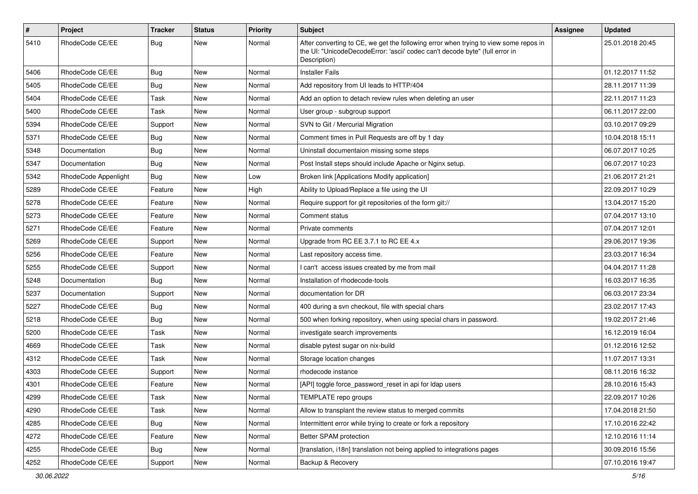| $\sharp$ | Project              | Tracker    | <b>Status</b> | Priority | Subject                                                                                                                                                                              | Assignee | <b>Updated</b>   |
|----------|----------------------|------------|---------------|----------|--------------------------------------------------------------------------------------------------------------------------------------------------------------------------------------|----------|------------------|
| 5410     | RhodeCode CE/EE      | <b>Bug</b> | New           | Normal   | After converting to CE, we get the following error when trying to view some repos in<br>the UI: "UnicodeDecodeError: 'ascii' codec can't decode byte" (full error in<br>Description) |          | 25.01.2018 20:45 |
| 5406     | RhodeCode CE/EE      | <b>Bug</b> | New           | Normal   | <b>Installer Fails</b>                                                                                                                                                               |          | 01.12.2017 11:52 |
| 5405     | RhodeCode CE/EE      | <b>Bug</b> | New           | Normal   | Add repository from UI leads to HTTP/404                                                                                                                                             |          | 28.11.2017 11:39 |
| 5404     | RhodeCode CE/EE      | Task       | New           | Normal   | Add an option to detach review rules when deleting an user                                                                                                                           |          | 22.11.2017 11:23 |
| 5400     | RhodeCode CE/EE      | Task       | New           | Normal   | User group - subgroup support                                                                                                                                                        |          | 06.11.2017 22:00 |
| 5394     | RhodeCode CE/EE      | Support    | New           | Normal   | SVN to Git / Mercurial Migration                                                                                                                                                     |          | 03.10.2017 09:29 |
| 5371     | RhodeCode CE/EE      | <b>Bug</b> | New           | Normal   | Comment times in Pull Requests are off by 1 day                                                                                                                                      |          | 10.04.2018 15:11 |
| 5348     | Documentation        | <b>Bug</b> | <b>New</b>    | Normal   | Uninstall documentaion missing some steps                                                                                                                                            |          | 06.07.2017 10:25 |
| 5347     | Documentation        | <b>Bug</b> | New           | Normal   | Post Install steps should include Apache or Nginx setup.                                                                                                                             |          | 06.07.2017 10:23 |
| 5342     | RhodeCode Appenlight | <b>Bug</b> | New           | Low      | Broken link [Applications Modify application]                                                                                                                                        |          | 21.06.2017 21:21 |
| 5289     | RhodeCode CE/EE      | Feature    | New           | High     | Ability to Upload/Replace a file using the UI                                                                                                                                        |          | 22.09.2017 10:29 |
| 5278     | RhodeCode CE/EE      | Feature    | New           | Normal   | Require support for git repositories of the form git://                                                                                                                              |          | 13.04.2017 15:20 |
| 5273     | RhodeCode CE/EE      | Feature    | <b>New</b>    | Normal   | Comment status                                                                                                                                                                       |          | 07.04.2017 13:10 |
| 5271     | RhodeCode CE/EE      | Feature    | New           | Normal   | Private comments                                                                                                                                                                     |          | 07.04.2017 12:01 |
| 5269     | RhodeCode CE/EE      | Support    | New           | Normal   | Upgrade from RC EE 3.7.1 to RC EE 4.x                                                                                                                                                |          | 29.06.2017 19:36 |
| 5256     | RhodeCode CE/EE      | Feature    | <b>New</b>    | Normal   | Last repository access time.                                                                                                                                                         |          | 23.03.2017 16:34 |
| 5255     | RhodeCode CE/EE      | Support    | New           | Normal   | I can't access issues created by me from mail                                                                                                                                        |          | 04.04.2017 11:28 |
| 5248     | Documentation        | Bug        | <b>New</b>    | Normal   | Installation of rhodecode-tools                                                                                                                                                      |          | 16.03.2017 16:35 |
| 5237     | Documentation        | Support    | New           | Normal   | documentation for DR                                                                                                                                                                 |          | 06.03.2017 23:34 |
| 5227     | RhodeCode CE/EE      | <b>Bug</b> | New           | Normal   | 400 during a svn checkout, file with special chars                                                                                                                                   |          | 23.02.2017 17:43 |
| 5218     | RhodeCode CE/EE      | <b>Bug</b> | <b>New</b>    | Normal   | 500 when forking repository, when using special chars in password.                                                                                                                   |          | 19.02.2017 21:46 |
| 5200     | RhodeCode CE/EE      | Task       | New           | Normal   | investigate search improvements                                                                                                                                                      |          | 16.12.2019 16:04 |
| 4669     | RhodeCode CE/EE      | Task       | New           | Normal   | disable pytest sugar on nix-build                                                                                                                                                    |          | 01.12.2016 12:52 |
| 4312     | RhodeCode CE/EE      | Task       | New           | Normal   | Storage location changes                                                                                                                                                             |          | 11.07.2017 13:31 |
| 4303     | RhodeCode CE/EE      | Support    | New           | Normal   | rhodecode instance                                                                                                                                                                   |          | 08.11.2016 16:32 |
| 4301     | RhodeCode CE/EE      | Feature    | New           | Normal   | [API] toggle force_password_reset in api for Idap users                                                                                                                              |          | 28.10.2016 15:43 |
| 4299     | RhodeCode CE/EE      | Task       | New           | Normal   | TEMPLATE repo groups                                                                                                                                                                 |          | 22.09.2017 10:26 |
| 4290     | RhodeCode CE/EE      | Task       | New           | Normal   | Allow to transplant the review status to merged commits                                                                                                                              |          | 17.04.2018 21:50 |
| 4285     | RhodeCode CE/EE      | Bug        | New           | Normal   | Intermittent error while trying to create or fork a repository                                                                                                                       |          | 17.10.2016 22:42 |
| 4272     | RhodeCode CE/EE      | Feature    | New           | Normal   | Better SPAM protection                                                                                                                                                               |          | 12.10.2016 11:14 |
| 4255     | RhodeCode CE/EE      | <b>Bug</b> | New           | Normal   | [translation, i18n] translation not being applied to integrations pages                                                                                                              |          | 30.09.2016 15:56 |
| 4252     | RhodeCode CE/EE      | Support    | New           | Normal   | Backup & Recovery                                                                                                                                                                    |          | 07.10.2016 19:47 |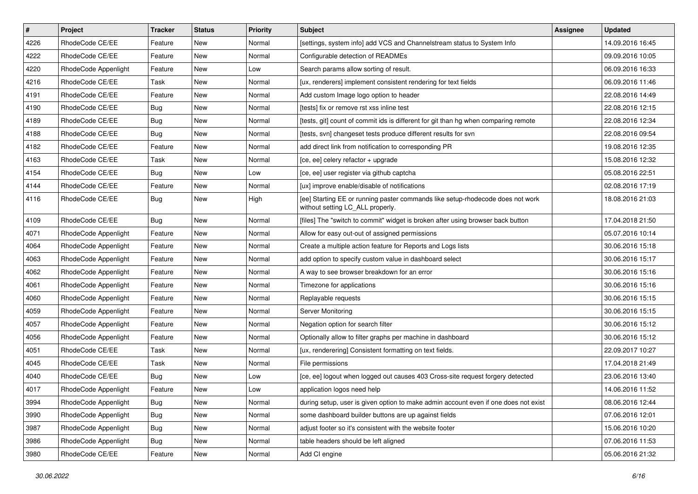| $\sharp$ | Project              | <b>Tracker</b> | <b>Status</b> | <b>Priority</b> | <b>Subject</b>                                                                                                     | <b>Assignee</b> | <b>Updated</b>   |
|----------|----------------------|----------------|---------------|-----------------|--------------------------------------------------------------------------------------------------------------------|-----------------|------------------|
| 4226     | RhodeCode CE/EE      | Feature        | New           | Normal          | [settings, system info] add VCS and Channelstream status to System Info                                            |                 | 14.09.2016 16:45 |
| 4222     | RhodeCode CE/EE      | Feature        | <b>New</b>    | Normal          | Configurable detection of READMEs                                                                                  |                 | 09.09.2016 10:05 |
| 4220     | RhodeCode Appenlight | Feature        | New           | Low             | Search params allow sorting of result.                                                                             |                 | 06.09.2016 16:33 |
| 4216     | RhodeCode CE/EE      | Task           | <b>New</b>    | Normal          | [ux, renderers] implement consistent rendering for text fields                                                     |                 | 06.09.2016 11:46 |
| 4191     | RhodeCode CE/EE      | Feature        | <b>New</b>    | Normal          | Add custom Image logo option to header                                                                             |                 | 22.08.2016 14:49 |
| 4190     | RhodeCode CE/EE      | Bug            | New           | Normal          | Itests] fix or remove rst xss inline test                                                                          |                 | 22.08.2016 12:15 |
| 4189     | RhodeCode CE/EE      | Bug            | New           | Normal          | Itests, git] count of commit ids is different for git than hg when comparing remote                                |                 | 22.08.2016 12:34 |
| 4188     | RhodeCode CE/EE      | Bug            | New           | Normal          | [tests, svn] changeset tests produce different results for svn                                                     |                 | 22.08.2016 09:54 |
| 4182     | RhodeCode CE/EE      | Feature        | <b>New</b>    | Normal          | add direct link from notification to corresponding PR                                                              |                 | 19.08.2016 12:35 |
| 4163     | RhodeCode CE/EE      | <b>Task</b>    | <b>New</b>    | Normal          | [ce, ee] celery refactor + upgrade                                                                                 |                 | 15.08.2016 12:32 |
| 4154     | RhodeCode CE/EE      | Bug            | New           | Low             | [ce, ee] user register via github captcha                                                                          |                 | 05.08.2016 22:51 |
| 4144     | RhodeCode CE/EE      | Feature        | New           | Normal          | [ux] improve enable/disable of notifications                                                                       |                 | 02.08.2016 17:19 |
| 4116     | RhodeCode CE/EE      | Bug            | New           | High            | [ee] Starting EE or running paster commands like setup-rhodecode does not work<br>without setting LC_ALL properly. |                 | 18.08.2016 21:03 |
| 4109     | RhodeCode CE/EE      | Bug            | <b>New</b>    | Normal          | [files] The "switch to commit" widget is broken after using browser back button                                    |                 | 17.04.2018 21:50 |
| 4071     | RhodeCode Appenlight | Feature        | New           | Normal          | Allow for easy out-out of assigned permissions                                                                     |                 | 05.07.2016 10:14 |
| 4064     | RhodeCode Appenlight | Feature        | New           | Normal          | Create a multiple action feature for Reports and Logs lists                                                        |                 | 30.06.2016 15:18 |
| 4063     | RhodeCode Appenlight | Feature        | <b>New</b>    | Normal          | add option to specify custom value in dashboard select                                                             |                 | 30.06.2016 15:17 |
| 4062     | RhodeCode Appenlight | Feature        | New           | Normal          | A way to see browser breakdown for an error                                                                        |                 | 30.06.2016 15:16 |
| 4061     | RhodeCode Appenlight | Feature        | New           | Normal          | Timezone for applications                                                                                          |                 | 30.06.2016 15:16 |
| 4060     | RhodeCode Appenlight | Feature        | New           | Normal          | Replayable requests                                                                                                |                 | 30.06.2016 15:15 |
| 4059     | RhodeCode Appenlight | Feature        | <b>New</b>    | Normal          | Server Monitoring                                                                                                  |                 | 30.06.2016 15:15 |
| 4057     | RhodeCode Appenlight | Feature        | <b>New</b>    | Normal          | Negation option for search filter                                                                                  |                 | 30.06.2016 15:12 |
| 4056     | RhodeCode Appenlight | Feature        | New           | Normal          | Optionally allow to filter graphs per machine in dashboard                                                         |                 | 30.06.2016 15:12 |
| 4051     | RhodeCode CE/EE      | Task           | New           | Normal          | [ux, renderering] Consistent formatting on text fields.                                                            |                 | 22.09.2017 10:27 |
| 4045     | RhodeCode CE/EE      | <b>Task</b>    | <b>New</b>    | Normal          | File permissions                                                                                                   |                 | 17.04.2018 21:49 |
| 4040     | RhodeCode CE/EE      | Bug            | New           | Low             | [ce, ee] logout when logged out causes 403 Cross-site request forgery detected                                     |                 | 23.06.2016 13:40 |
| 4017     | RhodeCode Appenlight | Feature        | <b>New</b>    | Low             | application logos need help                                                                                        |                 | 14.06.2016 11:52 |
| 3994     | RhodeCode Appenlight | <b>Bug</b>     | New           | Normal          | during setup, user is given option to make admin account even if one does not exist                                |                 | 08.06.2016 12:44 |
| 3990     | RhodeCode Appenlight | <b>Bug</b>     | New           | Normal          | some dashboard builder buttons are up against fields                                                               |                 | 07.06.2016 12:01 |
| 3987     | RhodeCode Appenlight | <b>Bug</b>     | New           | Normal          | adjust footer so it's consistent with the website footer                                                           |                 | 15.06.2016 10:20 |
| 3986     | RhodeCode Appenlight | Bug            | New           | Normal          | table headers should be left aligned                                                                               |                 | 07.06.2016 11:53 |
| 3980     | RhodeCode CE/EE      | Feature        | New           | Normal          | Add CI engine                                                                                                      |                 | 05.06.2016 21:32 |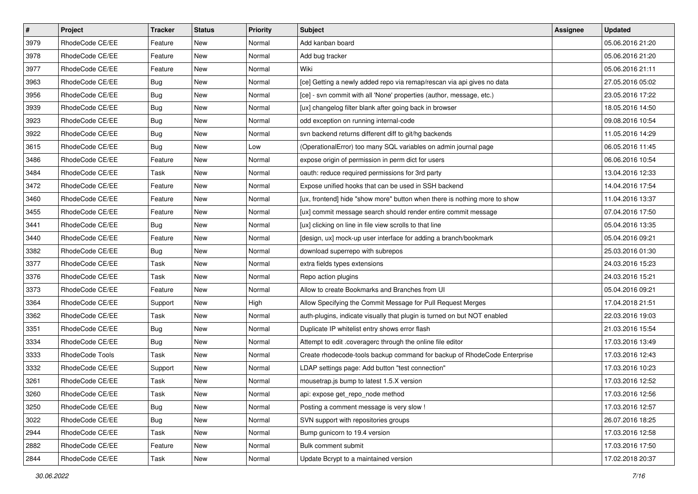| $\pmb{\#}$ | Project         | <b>Tracker</b> | <b>Status</b> | <b>Priority</b> | <b>Subject</b>                                                            | Assignee | <b>Updated</b>   |
|------------|-----------------|----------------|---------------|-----------------|---------------------------------------------------------------------------|----------|------------------|
| 3979       | RhodeCode CE/EE | Feature        | New           | Normal          | Add kanban board                                                          |          | 05.06.2016 21:20 |
| 3978       | RhodeCode CE/EE | Feature        | New           | Normal          | Add bug tracker                                                           |          | 05.06.2016 21:20 |
| 3977       | RhodeCode CE/EE | Feature        | New           | Normal          | Wiki                                                                      |          | 05.06.2016 21:11 |
| 3963       | RhodeCode CE/EE | Bug            | New           | Normal          | [ce] Getting a newly added repo via remap/rescan via api gives no data    |          | 27.05.2016 05:02 |
| 3956       | RhodeCode CE/EE | <b>Bug</b>     | <b>New</b>    | Normal          | [ce] - svn commit with all 'None' properties (author, message, etc.)      |          | 23.05.2016 17:22 |
| 3939       | RhodeCode CE/EE | <b>Bug</b>     | New           | Normal          | [ux] changelog filter blank after going back in browser                   |          | 18.05.2016 14:50 |
| 3923       | RhodeCode CE/EE | Bug            | New           | Normal          | odd exception on running internal-code                                    |          | 09.08.2016 10:54 |
| 3922       | RhodeCode CE/EE | Bug            | New           | Normal          | svn backend returns different diff to git/hg backends                     |          | 11.05.2016 14:29 |
| 3615       | RhodeCode CE/EE | Bug            | New           | Low             | (OperationalError) too many SQL variables on admin journal page           |          | 06.05.2016 11:45 |
| 3486       | RhodeCode CE/EE | Feature        | <b>New</b>    | Normal          | expose origin of permission in perm dict for users                        |          | 06.06.2016 10:54 |
| 3484       | RhodeCode CE/EE | Task           | New           | Normal          | oauth: reduce required permissions for 3rd party                          |          | 13.04.2016 12:33 |
| 3472       | RhodeCode CE/EE | Feature        | New           | Normal          | Expose unified hooks that can be used in SSH backend                      |          | 14.04.2016 17:54 |
| 3460       | RhodeCode CE/EE | Feature        | New           | Normal          | [ux, frontend] hide "show more" button when there is nothing more to show |          | 11.04.2016 13:37 |
| 3455       | RhodeCode CE/EE | Feature        | New           | Normal          | [ux] commit message search should render entire commit message            |          | 07.04.2016 17:50 |
| 3441       | RhodeCode CE/EE | Bug            | <b>New</b>    | Normal          | [ux] clicking on line in file view scrolls to that line                   |          | 05.04.2016 13:35 |
| 3440       | RhodeCode CE/EE | Feature        | New           | Normal          | [design, ux] mock-up user interface for adding a branch/bookmark          |          | 05.04.2016 09:21 |
| 3382       | RhodeCode CE/EE | Bug            | New           | Normal          | download superrepo with subrepos                                          |          | 25.03.2016 01:30 |
| 3377       | RhodeCode CE/EE | Task           | <b>New</b>    | Normal          | extra fields types extensions                                             |          | 24.03.2016 15:23 |
| 3376       | RhodeCode CE/EE | Task           | New           | Normal          | Repo action plugins                                                       |          | 24.03.2016 15:21 |
| 3373       | RhodeCode CE/EE | Feature        | New           | Normal          | Allow to create Bookmarks and Branches from UI                            |          | 05.04.2016 09:21 |
| 3364       | RhodeCode CE/EE | Support        | New           | High            | Allow Specifying the Commit Message for Pull Request Merges               |          | 17.04.2018 21:51 |
| 3362       | RhodeCode CE/EE | Task           | New           | Normal          | auth-plugins, indicate visually that plugin is turned on but NOT enabled  |          | 22.03.2016 19:03 |
| 3351       | RhodeCode CE/EE | Bug            | <b>New</b>    | Normal          | Duplicate IP whitelist entry shows error flash                            |          | 21.03.2016 15:54 |
| 3334       | RhodeCode CE/EE | Bug            | New           | Normal          | Attempt to edit .coveragerc through the online file editor                |          | 17.03.2016 13:49 |
| 3333       | RhodeCode Tools | Task           | New           | Normal          | Create rhodecode-tools backup command for backup of RhodeCode Enterprise  |          | 17.03.2016 12:43 |
| 3332       | RhodeCode CE/EE | Support        | New           | Normal          | LDAP settings page: Add button "test connection"                          |          | 17.03.2016 10:23 |
| 3261       | RhodeCode CE/EE | Task           | New           | Normal          | mousetrap.js bump to latest 1.5.X version                                 |          | 17.03.2016 12:52 |
| 3260       | RhodeCode CE/EE | Task           | New           | Normal          | api: expose get_repo_node method                                          |          | 17.03.2016 12:56 |
| 3250       | RhodeCode CE/EE | Bug            | New           | Normal          | Posting a comment message is very slow !                                  |          | 17.03.2016 12:57 |
| 3022       | RhodeCode CE/EE | Bug            | New           | Normal          | SVN support with repositories groups                                      |          | 26.07.2016 18:25 |
| 2944       | RhodeCode CE/EE | Task           | New           | Normal          | Bump gunicorn to 19.4 version                                             |          | 17.03.2016 12:58 |
| 2882       | RhodeCode CE/EE | Feature        | New           | Normal          | Bulk comment submit                                                       |          | 17.03.2016 17:50 |
| 2844       | RhodeCode CE/EE | Task           | New           | Normal          | Update Bcrypt to a maintained version                                     |          | 17.02.2018 20:37 |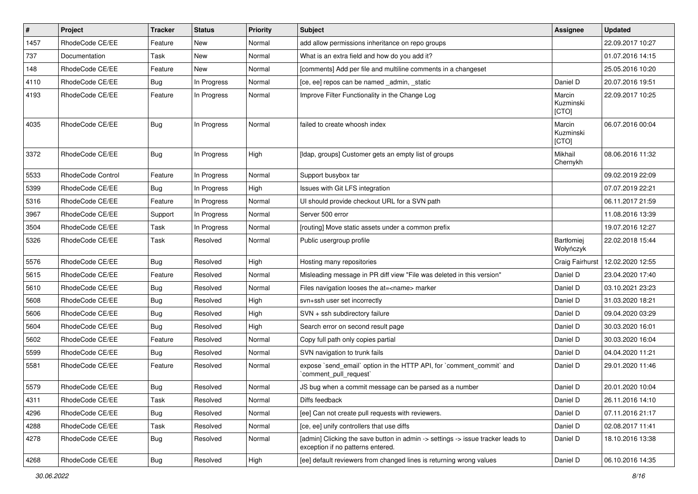| $\pmb{\#}$ | Project           | <b>Tracker</b> | <b>Status</b> | <b>Priority</b> | Subject                                                                                                              | <b>Assignee</b>              | <b>Updated</b>   |
|------------|-------------------|----------------|---------------|-----------------|----------------------------------------------------------------------------------------------------------------------|------------------------------|------------------|
| 1457       | RhodeCode CE/EE   | Feature        | <b>New</b>    | Normal          | add allow permissions inheritance on repo groups                                                                     |                              | 22.09.2017 10:27 |
| 737        | Documentation     | Task           | <b>New</b>    | Normal          | What is an extra field and how do you add it?                                                                        |                              | 01.07.2016 14:15 |
| 148        | RhodeCode CE/EE   | Feature        | New           | Normal          | [comments] Add per file and multiline comments in a changeset                                                        |                              | 25.05.2016 10:20 |
| 4110       | RhodeCode CE/EE   | Bug            | In Progress   | Normal          | [ce, ee] repos can be named _admin, _static                                                                          | Daniel D                     | 20.07.2016 19:51 |
| 4193       | RhodeCode CE/EE   | Feature        | In Progress   | Normal          | Improve Filter Functionality in the Change Log                                                                       | Marcin<br>Kuzminski<br>[CTO] | 22.09.2017 10:25 |
| 4035       | RhodeCode CE/EE   | Bug            | In Progress   | Normal          | failed to create whoosh index                                                                                        | Marcin<br>Kuzminski<br>[CTO] | 06.07.2016 00:04 |
| 3372       | RhodeCode CE/EE   | Bug            | In Progress   | High            | [Idap, groups] Customer gets an empty list of groups                                                                 | Mikhail<br>Chernykh          | 08.06.2016 11:32 |
| 5533       | RhodeCode Control | Feature        | In Progress   | Normal          | Support busybox tar                                                                                                  |                              | 09.02.2019 22:09 |
| 5399       | RhodeCode CE/EE   | <b>Bug</b>     | In Progress   | High            | Issues with Git LFS integration                                                                                      |                              | 07.07.2019 22:21 |
| 5316       | RhodeCode CE/EE   | Feature        | In Progress   | Normal          | UI should provide checkout URL for a SVN path                                                                        |                              | 06.11.2017 21:59 |
| 3967       | RhodeCode CE/EE   | Support        | In Progress   | Normal          | Server 500 error                                                                                                     |                              | 11.08.2016 13:39 |
| 3504       | RhodeCode CE/EE   | Task           | In Progress   | Normal          | [routing] Move static assets under a common prefix                                                                   |                              | 19.07.2016 12:27 |
| 5326       | RhodeCode CE/EE   | Task           | Resolved      | Normal          | Public usergroup profile                                                                                             | Bartłomiej<br>Wołyńczyk      | 22.02.2018 15:44 |
| 5576       | RhodeCode CE/EE   | Bug            | Resolved      | High            | Hosting many repositories                                                                                            | Craig Fairhurst              | 12.02.2020 12:55 |
| 5615       | RhodeCode CE/EE   | Feature        | Resolved      | Normal          | Misleading message in PR diff view "File was deleted in this version"                                                | Daniel D                     | 23.04.2020 17:40 |
| 5610       | RhodeCode CE/EE   | Bug            | Resolved      | Normal          | Files navigation looses the at= <name> marker</name>                                                                 | Daniel D                     | 03.10.2021 23:23 |
| 5608       | RhodeCode CE/EE   | Bug            | Resolved      | High            | svn+ssh user set incorrectly                                                                                         | Daniel D                     | 31.03.2020 18:21 |
| 5606       | RhodeCode CE/EE   | Bug            | Resolved      | High            | SVN + ssh subdirectory failure                                                                                       | Daniel D                     | 09.04.2020 03:29 |
| 5604       | RhodeCode CE/EE   | Bug            | Resolved      | High            | Search error on second result page                                                                                   | Daniel D                     | 30.03.2020 16:01 |
| 5602       | RhodeCode CE/EE   | Feature        | Resolved      | Normal          | Copy full path only copies partial                                                                                   | Daniel D                     | 30.03.2020 16:04 |
| 5599       | RhodeCode CE/EE   | <b>Bug</b>     | Resolved      | Normal          | SVN navigation to trunk fails                                                                                        | Daniel D                     | 04.04.2020 11:21 |
| 5581       | RhodeCode CE/EE   | Feature        | Resolved      | Normal          | expose `send_email` option in the HTTP API, for `comment_commit` and<br>`comment_pull_request`                       | Daniel D                     | 29.01.2020 11:46 |
| 5579       | RhodeCode CE/EE   | Bug            | Resolved      | Normal          | JS bug when a commit message can be parsed as a number                                                               | Daniel D                     | 20.01.2020 10:04 |
| 4311       | RhodeCode CE/EE   | Task           | Resolved      | Normal          | Diffs feedback                                                                                                       | Daniel D                     | 26.11.2016 14:10 |
| 4296       | RhodeCode CE/EE   | <b>Bug</b>     | Resolved      | Normal          | [ee] Can not create pull requests with reviewers.                                                                    | Daniel D                     | 07.11.2016 21:17 |
| 4288       | RhodeCode CE/EE   | Task           | Resolved      | Normal          | [ce, ee] unify controllers that use diffs                                                                            | Daniel D                     | 02.08.2017 11:41 |
| 4278       | RhodeCode CE/EE   | <b>Bug</b>     | Resolved      | Normal          | [admin] Clicking the save button in admin -> settings -> issue tracker leads to<br>exception if no patterns entered. | Daniel D                     | 18.10.2016 13:38 |
| 4268       | RhodeCode CE/EE   | Bug            | Resolved      | High            | [ee] default reviewers from changed lines is returning wrong values                                                  | Daniel D                     | 06.10.2016 14:35 |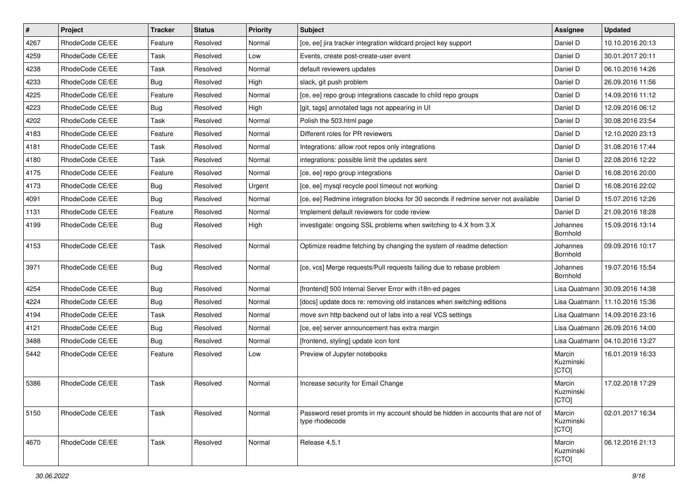| $\sharp$ | Project         | <b>Tracker</b> | <b>Status</b> | <b>Priority</b> | Subject                                                                                            | Assignee                     | <b>Updated</b>                   |
|----------|-----------------|----------------|---------------|-----------------|----------------------------------------------------------------------------------------------------|------------------------------|----------------------------------|
| 4267     | RhodeCode CE/EE | Feature        | Resolved      | Normal          | [ce, ee] jira tracker integration wildcard project key support                                     | Daniel D                     | 10.10.2016 20:13                 |
| 4259     | RhodeCode CE/EE | Task           | Resolved      | Low             | Events, create post-create-user event                                                              | Daniel D                     | 30.01.2017 20:11                 |
| 4238     | RhodeCode CE/EE | Task           | Resolved      | Normal          | default reviewers updates                                                                          | Daniel D                     | 06.10.2016 14:26                 |
| 4233     | RhodeCode CE/EE | Bug            | Resolved      | High            | slack, git push problem                                                                            | Daniel D                     | 26.09.2016 11:56                 |
| 4225     | RhodeCode CE/EE | Feature        | Resolved      | Normal          | [ce, ee] repo group integrations cascade to child repo groups                                      | Daniel D                     | 14.09.2016 11:12                 |
| 4223     | RhodeCode CE/EE | Bug            | Resolved      | High            | [git, tags] annotated tags not appearing in UI                                                     | Daniel D                     | 12.09.2016 06:12                 |
| 4202     | RhodeCode CE/EE | Task           | Resolved      | Normal          | Polish the 503.html page                                                                           | Daniel D                     | 30.08.2016 23:54                 |
| 4183     | RhodeCode CE/EE | Feature        | Resolved      | Normal          | Different roles for PR reviewers                                                                   | Daniel D                     | 12.10.2020 23:13                 |
| 4181     | RhodeCode CE/EE | Task           | Resolved      | Normal          | Integrations: allow root repos only integrations                                                   | Daniel D                     | 31.08.2016 17:44                 |
| 4180     | RhodeCode CE/EE | Task           | Resolved      | Normal          | integrations: possible limit the updates sent                                                      | Daniel D                     | 22.08.2016 12:22                 |
| 4175     | RhodeCode CE/EE | Feature        | Resolved      | Normal          | [ce, ee] repo group integrations                                                                   | Daniel D                     | 16.08.2016 20:00                 |
| 4173     | RhodeCode CE/EE | Bug            | Resolved      | Urgent          | [ce, ee] mysql recycle pool timeout not working                                                    | Daniel D                     | 16.08.2016 22:02                 |
| 4091     | RhodeCode CE/EE | Bug            | Resolved      | Normal          | [ce, ee] Redmine integration blocks for 30 seconds if redmine server not available                 | Daniel D                     | 15.07.2016 12:26                 |
| 1131     | RhodeCode CE/EE | Feature        | Resolved      | Normal          | Implement default reviewers for code review                                                        | Daniel D                     | 21.09.2016 18:28                 |
| 4199     | RhodeCode CE/EE | <b>Bug</b>     | Resolved      | High            | investigate: ongoing SSL problems when switching to 4.X from 3.X                                   | Johannes<br>Bornhold         | 15.09.2016 13:14                 |
| 4153     | RhodeCode CE/EE | Task           | Resolved      | Normal          | Optimize readme fetching by changing the system of readme detection                                | Johannes<br>Bornhold         | 09.09.2016 10:17                 |
| 3971     | RhodeCode CE/EE | <b>Bug</b>     | Resolved      | Normal          | [ce, vcs] Merge requests/Pull requests failing due to rebase problem                               | Johannes<br>Bornhold         | 19.07.2016 15:54                 |
| 4254     | RhodeCode CE/EE | Bug            | Resolved      | Normal          | [frontend] 500 Internal Server Error with i18n-ed pages                                            |                              | Lisa Quatmann   30.09.2016 14:38 |
| 4224     | RhodeCode CE/EE | Bug            | Resolved      | Normal          | [docs] update docs re: removing old instances when switching editions                              |                              | Lisa Quatmann   11.10.2016 15:36 |
| 4194     | RhodeCode CE/EE | Task           | Resolved      | Normal          | move svn http backend out of labs into a real VCS settings                                         |                              | Lisa Quatmann   14.09.2016 23:16 |
| 4121     | RhodeCode CE/EE | Bug            | Resolved      | Normal          | [ce, ee] server announcement has extra margin                                                      |                              | Lisa Quatmann   26.09.2016 14:00 |
| 3488     | RhodeCode CE/EE | Bug            | Resolved      | Normal          | [frontend, styling] update icon font                                                               |                              | Lisa Quatmann   04.10.2016 13:27 |
| 5442     | RhodeCode CE/EE | Feature        | Resolved      | Low             | Preview of Jupyter notebooks                                                                       | Marcin<br>Kuzminski<br>[CTO] | 16.01.2019 16:33                 |
| 5386     | RhodeCode CE/EE | Task           | Resolved      | Normal          | Increase security for Email Change                                                                 | Marcin<br>Kuzminski<br>[CTO] | 17.02.2018 17:29                 |
| 5150     | RhodeCode CE/EE | Task           | Resolved      | Normal          | Password reset promts in my account should be hidden in accounts that are not of<br>type rhodecode | Marcin<br>Kuzminski<br>[CTO] | 02.01.2017 16:34                 |
| 4670     | RhodeCode CE/EE | Task           | Resolved      | Normal          | Release 4.5.1                                                                                      | Marcin<br>Kuzminski<br>[CTO] | 06.12.2016 21:13                 |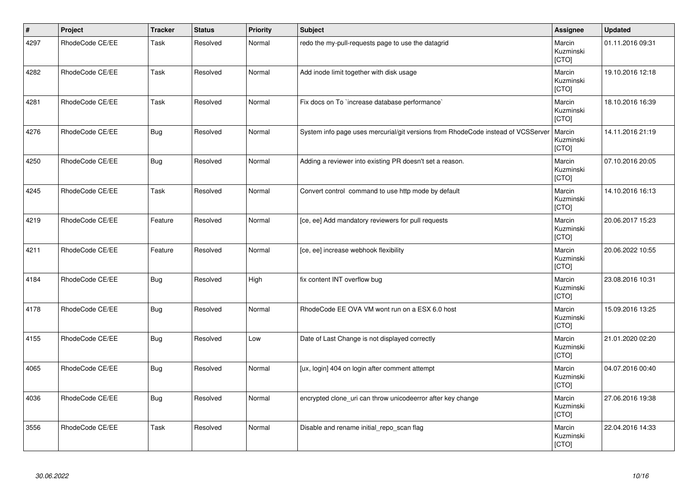| $\vert$ # | Project         | <b>Tracker</b> | <b>Status</b> | <b>Priority</b> | <b>Subject</b>                                                                   | Assignee                            | <b>Updated</b>   |
|-----------|-----------------|----------------|---------------|-----------------|----------------------------------------------------------------------------------|-------------------------------------|------------------|
| 4297      | RhodeCode CE/EE | Task           | Resolved      | Normal          | redo the my-pull-requests page to use the datagrid                               | Marcin<br>Kuzminski<br>[CTO]        | 01.11.2016 09:31 |
| 4282      | RhodeCode CE/EE | Task           | Resolved      | Normal          | Add inode limit together with disk usage                                         | Marcin<br>Kuzminski<br>[CTO]        | 19.10.2016 12:18 |
| 4281      | RhodeCode CE/EE | Task           | Resolved      | Normal          | Fix docs on To `increase database performance`                                   | Marcin<br>Kuzminski<br><b>[CTO]</b> | 18.10.2016 16:39 |
| 4276      | RhodeCode CE/EE | <b>Bug</b>     | Resolved      | Normal          | System info page uses mercurial/git versions from RhodeCode instead of VCSServer | Marcin<br>Kuzminski<br>[CTO]        | 14.11.2016 21:19 |
| 4250      | RhodeCode CE/EE | <b>Bug</b>     | Resolved      | Normal          | Adding a reviewer into existing PR doesn't set a reason.                         | Marcin<br>Kuzminski<br>[CTO]        | 07.10.2016 20:05 |
| 4245      | RhodeCode CE/EE | Task           | Resolved      | Normal          | Convert control command to use http mode by default                              | Marcin<br>Kuzminski<br>[CTO]        | 14.10.2016 16:13 |
| 4219      | RhodeCode CE/EE | Feature        | Resolved      | Normal          | [ce, ee] Add mandatory reviewers for pull requests                               | Marcin<br>Kuzminski<br>[CTO]        | 20.06.2017 15:23 |
| 4211      | RhodeCode CE/EE | Feature        | Resolved      | Normal          | [ce, ee] increase webhook flexibility                                            | Marcin<br>Kuzminski<br>[CTO]        | 20.06.2022 10:55 |
| 4184      | RhodeCode CE/EE | <b>Bug</b>     | Resolved      | High            | fix content INT overflow bug                                                     | Marcin<br>Kuzminski<br>[CTO]        | 23.08.2016 10:31 |
| 4178      | RhodeCode CE/EE | Bug            | Resolved      | Normal          | RhodeCode EE OVA VM wont run on a ESX 6.0 host                                   | Marcin<br>Kuzminski<br>[CTO]        | 15.09.2016 13:25 |
| 4155      | RhodeCode CE/EE | <b>Bug</b>     | Resolved      | Low             | Date of Last Change is not displayed correctly                                   | Marcin<br>Kuzminski<br>[CTO]        | 21.01.2020 02:20 |
| 4065      | RhodeCode CE/EE | <b>Bug</b>     | Resolved      | Normal          | [ux, login] 404 on login after comment attempt                                   | Marcin<br>Kuzminski<br>[CTO]        | 04.07.2016 00:40 |
| 4036      | RhodeCode CE/EE | <b>Bug</b>     | Resolved      | Normal          | encrypted clone_uri can throw unicodeerror after key change                      | Marcin<br>Kuzminski<br>[CTO]        | 27.06.2016 19:38 |
| 3556      | RhodeCode CE/EE | Task           | Resolved      | Normal          | Disable and rename initial_repo_scan flag                                        | Marcin<br>Kuzminski<br>[CTO]        | 22.04.2016 14:33 |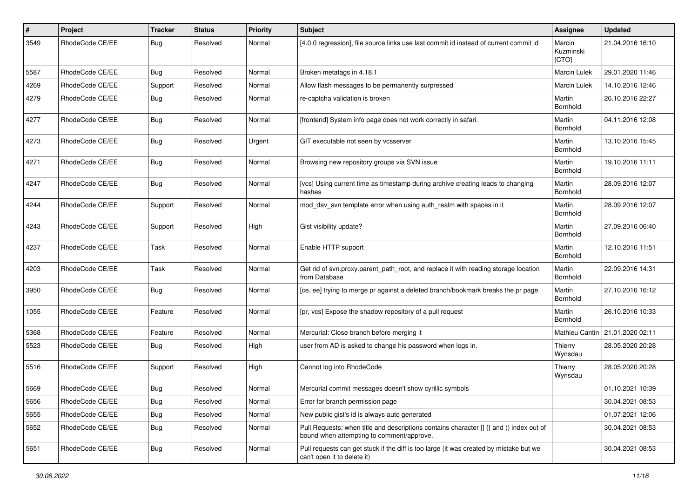| $\pmb{\#}$ | Project         | <b>Tracker</b> | <b>Status</b> | <b>Priority</b> | <b>Subject</b>                                                                                                                       | <b>Assignee</b>              | <b>Updated</b>   |
|------------|-----------------|----------------|---------------|-----------------|--------------------------------------------------------------------------------------------------------------------------------------|------------------------------|------------------|
| 3549       | RhodeCode CE/EE | Bug            | Resolved      | Normal          | [4.0.0 regression], file source links use last commit id instead of current commit id                                                | Marcin<br>Kuzminski<br>[CTO] | 21.04.2016 16:10 |
| 5587       | RhodeCode CE/EE | <b>Bug</b>     | Resolved      | Normal          | Broken metatags in 4.18.1                                                                                                            | Marcin Lulek                 | 29.01.2020 11:46 |
| 4269       | RhodeCode CE/EE | Support        | Resolved      | Normal          | Allow flash messages to be permanently surpressed                                                                                    | Marcin Lulek                 | 14.10.2016 12:46 |
| 4279       | RhodeCode CE/EE | <b>Bug</b>     | Resolved      | Normal          | re-captcha validation is broken                                                                                                      | Martin<br>Bornhold           | 26.10.2016 22:27 |
| 4277       | RhodeCode CE/EE | Bug            | Resolved      | Normal          | [frontend] System info page does not work correctly in safari.                                                                       | Martin<br>Bornhold           | 04.11.2016 12:08 |
| 4273       | RhodeCode CE/EE | Bug            | Resolved      | Urgent          | GIT executable not seen by vcsserver                                                                                                 | Martin<br>Bornhold           | 13.10.2016 15:45 |
| 4271       | RhodeCode CE/EE | Bug            | Resolved      | Normal          | Browsing new repository groups via SVN issue                                                                                         | Martin<br>Bornhold           | 19.10.2016 11:11 |
| 4247       | RhodeCode CE/EE | <b>Bug</b>     | Resolved      | Normal          | [vcs] Using current time as timestamp during archive creating leads to changing<br>hashes                                            | Martin<br>Bornhold           | 28.09.2016 12:07 |
| 4244       | RhodeCode CE/EE | Support        | Resolved      | Normal          | mod_dav_svn template error when using auth_realm with spaces in it                                                                   | Martin<br>Bornhold           | 28.09.2016 12:07 |
| 4243       | RhodeCode CE/EE | Support        | Resolved      | High            | Gist visibility update?                                                                                                              | Martin<br>Bornhold           | 27.09.2016 06:40 |
| 4237       | RhodeCode CE/EE | Task           | Resolved      | Normal          | Enable HTTP support                                                                                                                  | Martin<br>Bornhold           | 12.10.2016 11:51 |
| 4203       | RhodeCode CE/EE | Task           | Resolved      | Normal          | Get rid of svn.proxy.parent_path_root, and replace it with reading storage location<br>from Database                                 | Martin<br>Bornhold           | 22.09.2016 14:31 |
| 3950       | RhodeCode CE/EE | Bug            | Resolved      | Normal          | [ce, ee] trying to merge pr against a deleted branch/bookmark breaks the pr page                                                     | Martin<br>Bornhold           | 27.10.2016 16:12 |
| 1055       | RhodeCode CE/EE | Feature        | Resolved      | Normal          | [pr, vcs] Expose the shadow repository of a pull request                                                                             | Martin<br>Bornhold           | 26.10.2016 10:33 |
| 5368       | RhodeCode CE/EE | Feature        | Resolved      | Normal          | Mercurial: Close branch before merging it                                                                                            | Mathieu Cantin               | 21.01.2020 02:11 |
| 5523       | RhodeCode CE/EE | <b>Bug</b>     | Resolved      | High            | user from AD is asked to change his password when logs in.                                                                           | Thierry<br>Wynsdau           | 28.05.2020 20:28 |
| 5516       | RhodeCode CE/EE | Support        | Resolved      | High            | Cannot log into RhodeCode                                                                                                            | Thierry<br>Wynsdau           | 28.05.2020 20:28 |
| 5669       | RhodeCode CE/EE | Bug            | Resolved      | Normal          | Mercurial commit messages doesn't show cyrillic symbols                                                                              |                              | 01.10.2021 10:39 |
| 5656       | RhodeCode CE/EE | Bug            | Resolved      | Normal          | Error for branch permission page                                                                                                     |                              | 30.04.2021 08:53 |
| 5655       | RhodeCode CE/EE | <b>Bug</b>     | Resolved      | Normal          | New public gist's id is always auto generated                                                                                        |                              | 01.07.2021 12:06 |
| 5652       | RhodeCode CE/EE | <b>Bug</b>     | Resolved      | Normal          | Pull Requests: when title and descriptions contains character [] {} and () index out of<br>bound when attempting to comment/approve. |                              | 30.04.2021 08:53 |
| 5651       | RhodeCode CE/EE | Bug            | Resolved      | Normal          | Pull requests can get stuck if the diff is too large (it was created by mistake but we<br>can't open it to delete it)                |                              | 30.04.2021 08:53 |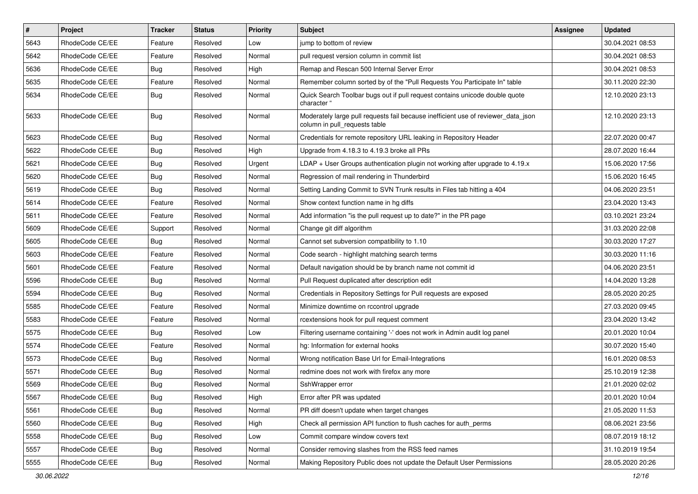| $\vert$ # | Project         | <b>Tracker</b> | <b>Status</b> | <b>Priority</b> | <b>Subject</b>                                                                                                     | <b>Assignee</b> | <b>Updated</b>   |
|-----------|-----------------|----------------|---------------|-----------------|--------------------------------------------------------------------------------------------------------------------|-----------------|------------------|
| 5643      | RhodeCode CE/EE | Feature        | Resolved      | Low             | jump to bottom of review                                                                                           |                 | 30.04.2021 08:53 |
| 5642      | RhodeCode CE/EE | Feature        | Resolved      | Normal          | pull request version column in commit list                                                                         |                 | 30.04.2021 08:53 |
| 5636      | RhodeCode CE/EE | <b>Bug</b>     | Resolved      | High            | Remap and Rescan 500 Internal Server Error                                                                         |                 | 30.04.2021 08:53 |
| 5635      | RhodeCode CE/EE | Feature        | Resolved      | Normal          | Remember column sorted by of the "Pull Requests You Participate In" table                                          |                 | 30.11.2020 22:30 |
| 5634      | RhodeCode CE/EE | Bug            | Resolved      | Normal          | Quick Search Toolbar bugs out if pull request contains unicode double quote<br>character "                         |                 | 12.10.2020 23:13 |
| 5633      | RhodeCode CE/EE | Bug            | Resolved      | Normal          | Moderately large pull requests fail because inefficient use of reviewer_data_json<br>column in pull_requests table |                 | 12.10.2020 23:13 |
| 5623      | RhodeCode CE/EE | Bug            | Resolved      | Normal          | Credentials for remote repository URL leaking in Repository Header                                                 |                 | 22.07.2020 00:47 |
| 5622      | RhodeCode CE/EE | Bug            | Resolved      | High            | Upgrade from 4.18.3 to 4.19.3 broke all PRs                                                                        |                 | 28.07.2020 16:44 |
| 5621      | RhodeCode CE/EE | Bug            | Resolved      | Urgent          | $LDAP + User Groups authentication playing not working after upgrade to 4.19.x$                                    |                 | 15.06.2020 17:56 |
| 5620      | RhodeCode CE/EE | Bug            | Resolved      | Normal          | Regression of mail rendering in Thunderbird                                                                        |                 | 15.06.2020 16:45 |
| 5619      | RhodeCode CE/EE | Bug            | Resolved      | Normal          | Setting Landing Commit to SVN Trunk results in Files tab hitting a 404                                             |                 | 04.06.2020 23:51 |
| 5614      | RhodeCode CE/EE | Feature        | Resolved      | Normal          | Show context function name in hg diffs                                                                             |                 | 23.04.2020 13:43 |
| 5611      | RhodeCode CE/EE | Feature        | Resolved      | Normal          | Add information "is the pull request up to date?" in the PR page                                                   |                 | 03.10.2021 23:24 |
| 5609      | RhodeCode CE/EE | Support        | Resolved      | Normal          | Change git diff algorithm                                                                                          |                 | 31.03.2020 22:08 |
| 5605      | RhodeCode CE/EE | Bug            | Resolved      | Normal          | Cannot set subversion compatibility to 1.10                                                                        |                 | 30.03.2020 17:27 |
| 5603      | RhodeCode CE/EE | Feature        | Resolved      | Normal          | Code search - highlight matching search terms                                                                      |                 | 30.03.2020 11:16 |
| 5601      | RhodeCode CE/EE | Feature        | Resolved      | Normal          | Default navigation should be by branch name not commit id                                                          |                 | 04.06.2020 23:51 |
| 5596      | RhodeCode CE/EE | Bug            | Resolved      | Normal          | Pull Request duplicated after description edit                                                                     |                 | 14.04.2020 13:28 |
| 5594      | RhodeCode CE/EE | Bug            | Resolved      | Normal          | Credentials in Repository Settings for Pull requests are exposed                                                   |                 | 28.05.2020 20:25 |
| 5585      | RhodeCode CE/EE | Feature        | Resolved      | Normal          | Minimize downtime on rccontrol upgrade                                                                             |                 | 27.03.2020 09:45 |
| 5583      | RhodeCode CE/EE | Feature        | Resolved      | Normal          | rcextensions hook for pull request comment                                                                         |                 | 23.04.2020 13:42 |
| 5575      | RhodeCode CE/EE | <b>Bug</b>     | Resolved      | Low             | Filtering username containing '-' does not work in Admin audit log panel                                           |                 | 20.01.2020 10:04 |
| 5574      | RhodeCode CE/EE | Feature        | Resolved      | Normal          | hg: Information for external hooks                                                                                 |                 | 30.07.2020 15:40 |
| 5573      | RhodeCode CE/EE | Bug            | Resolved      | Normal          | Wrong notification Base Url for Email-Integrations                                                                 |                 | 16.01.2020 08:53 |
| 5571      | RhodeCode CE/EE | Bug            | Resolved      | Normal          | redmine does not work with firefox any more                                                                        |                 | 25.10.2019 12:38 |
| 5569      | RhodeCode CE/EE | Bug            | Resolved      | Normal          | SshWrapper error                                                                                                   |                 | 21.01.2020 02:02 |
| 5567      | RhodeCode CE/EE | <b>Bug</b>     | Resolved      | High            | Error after PR was updated                                                                                         |                 | 20.01.2020 10:04 |
| 5561      | RhodeCode CE/EE | <b>Bug</b>     | Resolved      | Normal          | PR diff doesn't update when target changes                                                                         |                 | 21.05.2020 11:53 |
| 5560      | RhodeCode CE/EE | Bug            | Resolved      | High            | Check all permission API function to flush caches for auth_perms                                                   |                 | 08.06.2021 23:56 |
| 5558      | RhodeCode CE/EE | <b>Bug</b>     | Resolved      | Low             | Commit compare window covers text                                                                                  |                 | 08.07.2019 18:12 |
| 5557      | RhodeCode CE/EE | Bug            | Resolved      | Normal          | Consider removing slashes from the RSS feed names                                                                  |                 | 31.10.2019 19:54 |
| 5555      | RhodeCode CE/EE | Bug            | Resolved      | Normal          | Making Repository Public does not update the Default User Permissions                                              |                 | 28.05.2020 20:26 |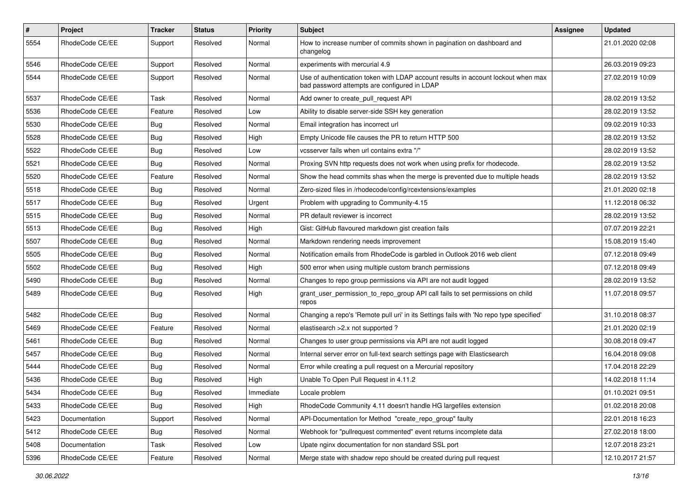| $\vert$ # | Project         | <b>Tracker</b> | <b>Status</b> | <b>Priority</b> | Subject                                                                                                                           | Assignee | <b>Updated</b>   |
|-----------|-----------------|----------------|---------------|-----------------|-----------------------------------------------------------------------------------------------------------------------------------|----------|------------------|
| 5554      | RhodeCode CE/EE | Support        | Resolved      | Normal          | How to increase number of commits shown in pagination on dashboard and<br>changelog                                               |          | 21.01.2020 02:08 |
| 5546      | RhodeCode CE/EE | Support        | Resolved      | Normal          | experiments with mercurial 4.9                                                                                                    |          | 26.03.2019 09:23 |
| 5544      | RhodeCode CE/EE | Support        | Resolved      | Normal          | Use of authentication token with LDAP account results in account lockout when max<br>bad password attempts are configured in LDAP |          | 27.02.2019 10:09 |
| 5537      | RhodeCode CE/EE | Task           | Resolved      | Normal          | Add owner to create_pull_request API                                                                                              |          | 28.02.2019 13:52 |
| 5536      | RhodeCode CE/EE | Feature        | Resolved      | Low             | Ability to disable server-side SSH key generation                                                                                 |          | 28.02.2019 13:52 |
| 5530      | RhodeCode CE/EE | <b>Bug</b>     | Resolved      | Normal          | Email integration has incorrect url                                                                                               |          | 09.02.2019 10:33 |
| 5528      | RhodeCode CE/EE | Bug            | Resolved      | High            | Empty Unicode file causes the PR to return HTTP 500                                                                               |          | 28.02.2019 13:52 |
| 5522      | RhodeCode CE/EE | <b>Bug</b>     | Resolved      | Low             | vcsserver fails when url contains extra "/"                                                                                       |          | 28.02.2019 13:52 |
| 5521      | RhodeCode CE/EE | Bug            | Resolved      | Normal          | Proxing SVN http requests does not work when using prefix for rhodecode.                                                          |          | 28.02.2019 13:52 |
| 5520      | RhodeCode CE/EE | Feature        | Resolved      | Normal          | Show the head commits shas when the merge is prevented due to multiple heads                                                      |          | 28.02.2019 13:52 |
| 5518      | RhodeCode CE/EE | Bug            | Resolved      | Normal          | Zero-sized files in /rhodecode/config/rcextensions/examples                                                                       |          | 21.01.2020 02:18 |
| 5517      | RhodeCode CE/EE | <b>Bug</b>     | Resolved      | Urgent          | Problem with upgrading to Community-4.15                                                                                          |          | 11.12.2018 06:32 |
| 5515      | RhodeCode CE/EE | <b>Bug</b>     | Resolved      | Normal          | PR default reviewer is incorrect                                                                                                  |          | 28.02.2019 13:52 |
| 5513      | RhodeCode CE/EE | Bug            | Resolved      | High            | Gist: GitHub flavoured markdown gist creation fails                                                                               |          | 07.07.2019 22:21 |
| 5507      | RhodeCode CE/EE | <b>Bug</b>     | Resolved      | Normal          | Markdown rendering needs improvement                                                                                              |          | 15.08.2019 15:40 |
| 5505      | RhodeCode CE/EE | <b>Bug</b>     | Resolved      | Normal          | Notification emails from RhodeCode is garbled in Outlook 2016 web client                                                          |          | 07.12.2018 09:49 |
| 5502      | RhodeCode CE/EE | Bug            | Resolved      | High            | 500 error when using multiple custom branch permissions                                                                           |          | 07.12.2018 09:49 |
| 5490      | RhodeCode CE/EE | Bug            | Resolved      | Normal          | Changes to repo group permissions via API are not audit logged                                                                    |          | 28.02.2019 13:52 |
| 5489      | RhodeCode CE/EE | <b>Bug</b>     | Resolved      | High            | grant_user_permission_to_repo_group API call fails to set permissions on child<br>repos                                           |          | 11.07.2018 09:57 |
| 5482      | RhodeCode CE/EE | Bug            | Resolved      | Normal          | Changing a repo's 'Remote pull uri' in its Settings fails with 'No repo type specified'                                           |          | 31.10.2018 08:37 |
| 5469      | RhodeCode CE/EE | Feature        | Resolved      | Normal          | elastisearch > 2.x not supported?                                                                                                 |          | 21.01.2020 02:19 |
| 5461      | RhodeCode CE/EE | <b>Bug</b>     | Resolved      | Normal          | Changes to user group permissions via API are not audit logged                                                                    |          | 30.08.2018 09:47 |
| 5457      | RhodeCode CE/EE | <b>Bug</b>     | Resolved      | Normal          | Internal server error on full-text search settings page with Elasticsearch                                                        |          | 16.04.2018 09:08 |
| 5444      | RhodeCode CE/EE | <b>Bug</b>     | Resolved      | Normal          | Error while creating a pull request on a Mercurial repository                                                                     |          | 17.04.2018 22:29 |
| 5436      | RhodeCode CE/EE | <b>Bug</b>     | Resolved      | High            | Unable To Open Pull Request in 4.11.2                                                                                             |          | 14.02.2018 11:14 |
| 5434      | RhodeCode CE/EE | Bug            | Resolved      | Immediate       | Locale problem                                                                                                                    |          | 01.10.2021 09:51 |
| 5433      | RhodeCode CE/EE | Bug            | Resolved      | High            | RhodeCode Community 4.11 doesn't handle HG largefiles extension                                                                   |          | 01.02.2018 20:08 |
| 5423      | Documentation   | Support        | Resolved      | Normal          | API-Documentation for Method "create repo group" faulty                                                                           |          | 22.01.2018 16:23 |
| 5412      | RhodeCode CE/EE | Bug            | Resolved      | Normal          | Webhook for "pullrequest commented" event returns incomplete data                                                                 |          | 27.02.2018 18:00 |
| 5408      | Documentation   | Task           | Resolved      | Low             | Upate nginx documentation for non standard SSL port                                                                               |          | 12.07.2018 23:21 |
| 5396      | RhodeCode CE/EE | Feature        | Resolved      | Normal          | Merge state with shadow repo should be created during pull request                                                                |          | 12.10.2017 21:57 |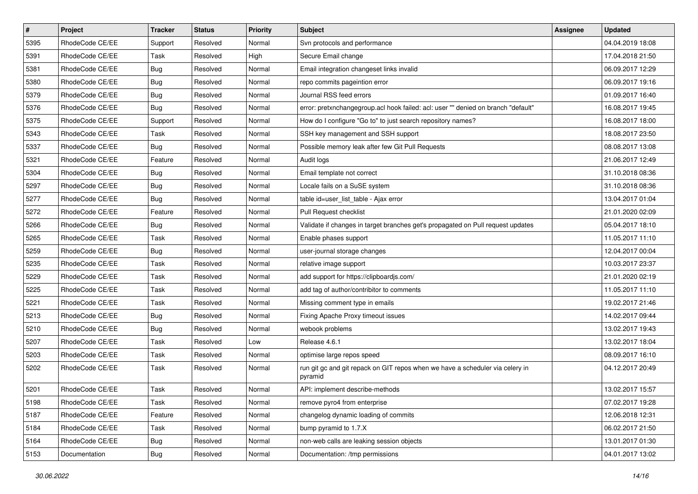| $\pmb{\#}$ | Project         | <b>Tracker</b> | <b>Status</b> | Priority | Subject                                                                                  | Assignee | <b>Updated</b>   |
|------------|-----------------|----------------|---------------|----------|------------------------------------------------------------------------------------------|----------|------------------|
| 5395       | RhodeCode CE/EE | Support        | Resolved      | Normal   | Svn protocols and performance                                                            |          | 04.04.2019 18:08 |
| 5391       | RhodeCode CE/EE | Task           | Resolved      | High     | Secure Email change                                                                      |          | 17.04.2018 21:50 |
| 5381       | RhodeCode CE/EE | <b>Bug</b>     | Resolved      | Normal   | Email integration changeset links invalid                                                |          | 06.09.2017 12:29 |
| 5380       | RhodeCode CE/EE | Bug            | Resolved      | Normal   | repo commits pageintion error                                                            |          | 06.09.2017 19:16 |
| 5379       | RhodeCode CE/EE | Bug            | Resolved      | Normal   | Journal RSS feed errors                                                                  |          | 01.09.2017 16:40 |
| 5376       | RhodeCode CE/EE | <b>Bug</b>     | Resolved      | Normal   | error: pretxnchangegroup.acl hook failed: acl: user "" denied on branch "default"        |          | 16.08.2017 19:45 |
| 5375       | RhodeCode CE/EE | Support        | Resolved      | Normal   | How do I configure "Go to" to just search repository names?                              |          | 16.08.2017 18:00 |
| 5343       | RhodeCode CE/EE | Task           | Resolved      | Normal   | SSH key management and SSH support                                                       |          | 18.08.2017 23:50 |
| 5337       | RhodeCode CE/EE | Bug            | Resolved      | Normal   | Possible memory leak after few Git Pull Requests                                         |          | 08.08.2017 13:08 |
| 5321       | RhodeCode CE/EE | Feature        | Resolved      | Normal   | Audit logs                                                                               |          | 21.06.2017 12:49 |
| 5304       | RhodeCode CE/EE | Bug            | Resolved      | Normal   | Email template not correct                                                               |          | 31.10.2018 08:36 |
| 5297       | RhodeCode CE/EE | <b>Bug</b>     | Resolved      | Normal   | Locale fails on a SuSE system                                                            |          | 31.10.2018 08:36 |
| 5277       | RhodeCode CE/EE | Bug            | Resolved      | Normal   | table id=user_list_table - Ajax error                                                    |          | 13.04.2017 01:04 |
| 5272       | RhodeCode CE/EE | Feature        | Resolved      | Normal   | Pull Request checklist                                                                   |          | 21.01.2020 02:09 |
| 5266       | RhodeCode CE/EE | Bug            | Resolved      | Normal   | Validate if changes in target branches get's propagated on Pull request updates          |          | 05.04.2017 18:10 |
| 5265       | RhodeCode CE/EE | Task           | Resolved      | Normal   | Enable phases support                                                                    |          | 11.05.2017 11:10 |
| 5259       | RhodeCode CE/EE | <b>Bug</b>     | Resolved      | Normal   | user-journal storage changes                                                             |          | 12.04.2017 00:04 |
| 5235       | RhodeCode CE/EE | Task           | Resolved      | Normal   | relative image support                                                                   |          | 10.03.2017 23:37 |
| 5229       | RhodeCode CE/EE | Task           | Resolved      | Normal   | add support for https://clipboardjs.com/                                                 |          | 21.01.2020 02:19 |
| 5225       | RhodeCode CE/EE | Task           | Resolved      | Normal   | add tag of author/contribitor to comments                                                |          | 11.05.2017 11:10 |
| 5221       | RhodeCode CE/EE | Task           | Resolved      | Normal   | Missing comment type in emails                                                           |          | 19.02.2017 21:46 |
| 5213       | RhodeCode CE/EE | <b>Bug</b>     | Resolved      | Normal   | Fixing Apache Proxy timeout issues                                                       |          | 14.02.2017 09:44 |
| 5210       | RhodeCode CE/EE | Bug            | Resolved      | Normal   | webook problems                                                                          |          | 13.02.2017 19:43 |
| 5207       | RhodeCode CE/EE | Task           | Resolved      | Low      | Release 4.6.1                                                                            |          | 13.02.2017 18:04 |
| 5203       | RhodeCode CE/EE | Task           | Resolved      | Normal   | optimise large repos speed                                                               |          | 08.09.2017 16:10 |
| 5202       | RhodeCode CE/EE | Task           | Resolved      | Normal   | run git gc and git repack on GIT repos when we have a scheduler via celery in<br>pyramid |          | 04.12.2017 20:49 |
| 5201       | RhodeCode CE/EE | Task           | Resolved      | Normal   | API: implement describe-methods                                                          |          | 13.02.2017 15:57 |
| 5198       | RhodeCode CE/EE | Task           | Resolved      | Normal   | remove pyro4 from enterprise                                                             |          | 07.02.2017 19:28 |
| 5187       | RhodeCode CE/EE | Feature        | Resolved      | Normal   | changelog dynamic loading of commits                                                     |          | 12.06.2018 12:31 |
| 5184       | RhodeCode CE/EE | Task           | Resolved      | Normal   | bump pyramid to 1.7.X                                                                    |          | 06.02.2017 21:50 |
| 5164       | RhodeCode CE/EE | <b>Bug</b>     | Resolved      | Normal   | non-web calls are leaking session objects                                                |          | 13.01.2017 01:30 |
| 5153       | Documentation   | Bug            | Resolved      | Normal   | Documentation: /tmp permissions                                                          |          | 04.01.2017 13:02 |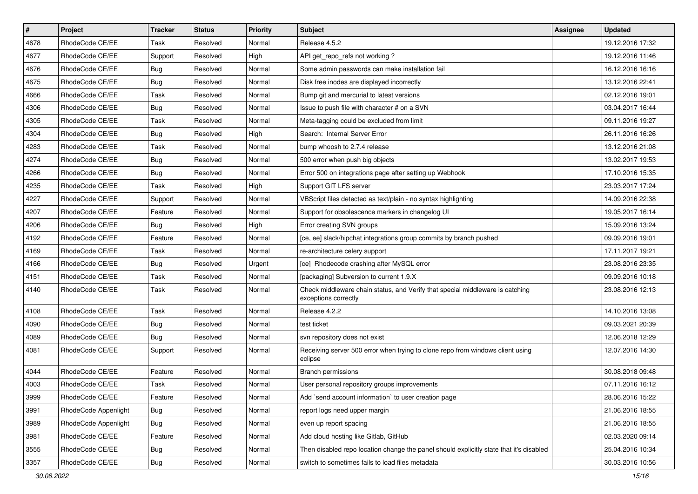| $\overline{\boldsymbol{H}}$ | Project              | <b>Tracker</b> | <b>Status</b> | <b>Priority</b> | <b>Subject</b>                                                                                        | <b>Assignee</b> | <b>Updated</b>   |
|-----------------------------|----------------------|----------------|---------------|-----------------|-------------------------------------------------------------------------------------------------------|-----------------|------------------|
| 4678                        | RhodeCode CE/EE      | Task           | Resolved      | Normal          | Release 4.5.2                                                                                         |                 | 19.12.2016 17:32 |
| 4677                        | RhodeCode CE/EE      | Support        | Resolved      | High            | API get_repo_refs not working?                                                                        |                 | 19.12.2016 11:46 |
| 4676                        | RhodeCode CE/EE      | <b>Bug</b>     | Resolved      | Normal          | Some admin passwords can make installation fail                                                       |                 | 16.12.2016 16:16 |
| 4675                        | RhodeCode CE/EE      | Bug            | Resolved      | Normal          | Disk free inodes are displayed incorrectly                                                            |                 | 13.12.2016 22:41 |
| 4666                        | RhodeCode CE/EE      | <b>Task</b>    | Resolved      | Normal          | Bump git and mercurial to latest versions                                                             |                 | 02.12.2016 19:01 |
| 4306                        | RhodeCode CE/EE      | Bug            | Resolved      | Normal          | Issue to push file with character # on a SVN                                                          |                 | 03.04.2017 16:44 |
| 4305                        | RhodeCode CE/EE      | Task           | Resolved      | Normal          | Meta-tagging could be excluded from limit                                                             |                 | 09.11.2016 19:27 |
| 4304                        | RhodeCode CE/EE      | Bug            | Resolved      | High            | Search: Internal Server Error                                                                         |                 | 26.11.2016 16:26 |
| 4283                        | RhodeCode CE/EE      | Task           | Resolved      | Normal          | bump whoosh to 2.7.4 release                                                                          |                 | 13.12.2016 21:08 |
| 4274                        | RhodeCode CE/EE      | Bug            | Resolved      | Normal          | 500 error when push big objects                                                                       |                 | 13.02.2017 19:53 |
| 4266                        | RhodeCode CE/EE      | Bug            | Resolved      | Normal          | Error 500 on integrations page after setting up Webhook                                               |                 | 17.10.2016 15:35 |
| 4235                        | RhodeCode CE/EE      | Task           | Resolved      | High            | Support GIT LFS server                                                                                |                 | 23.03.2017 17:24 |
| 4227                        | RhodeCode CE/EE      | Support        | Resolved      | Normal          | VBScript files detected as text/plain - no syntax highlighting                                        |                 | 14.09.2016 22:38 |
| 4207                        | RhodeCode CE/EE      | Feature        | Resolved      | Normal          | Support for obsolescence markers in changelog UI                                                      |                 | 19.05.2017 16:14 |
| 4206                        | RhodeCode CE/EE      | Bug            | Resolved      | High            | Error creating SVN groups                                                                             |                 | 15.09.2016 13:24 |
| 4192                        | RhodeCode CE/EE      | Feature        | Resolved      | Normal          | [ce, ee] slack/hipchat integrations group commits by branch pushed                                    |                 | 09.09.2016 19:01 |
| 4169                        | RhodeCode CE/EE      | Task           | Resolved      | Normal          | re-architecture celery support                                                                        |                 | 17.11.2017 19:21 |
| 4166                        | RhodeCode CE/EE      | Bug            | Resolved      | Urgent          | [ce] Rhodecode crashing after MySQL error                                                             |                 | 23.08.2016 23:35 |
| 4151                        | RhodeCode CE/EE      | Task           | Resolved      | Normal          | [packaging] Subversion to current 1.9.X                                                               |                 | 09.09.2016 10:18 |
| 4140                        | RhodeCode CE/EE      | Task           | Resolved      | Normal          | Check middleware chain status, and Verify that special middleware is catching<br>exceptions correctly |                 | 23.08.2016 12:13 |
| 4108                        | RhodeCode CE/EE      | Task           | Resolved      | Normal          | Release 4.2.2                                                                                         |                 | 14.10.2016 13:08 |
| 4090                        | RhodeCode CE/EE      | Bug            | Resolved      | Normal          | test ticket                                                                                           |                 | 09.03.2021 20:39 |
| 4089                        | RhodeCode CE/EE      | Bug            | Resolved      | Normal          | svn repository does not exist                                                                         |                 | 12.06.2018 12:29 |
| 4081                        | RhodeCode CE/EE      | Support        | Resolved      | Normal          | Receiving server 500 error when trying to clone repo from windows client using<br>eclipse             |                 | 12.07.2016 14:30 |
| 4044                        | RhodeCode CE/EE      | Feature        | Resolved      | Normal          | <b>Branch permissions</b>                                                                             |                 | 30.08.2018 09:48 |
| 4003                        | RhodeCode CE/EE      | Task           | Resolved      | Normal          | User personal repository groups improvements                                                          |                 | 07.11.2016 16:12 |
| 3999                        | RhodeCode CE/EE      | Feature        | Resolved      | Normal          | Add `send account information` to user creation page                                                  |                 | 28.06.2016 15:22 |
| 3991                        | RhodeCode Appenlight | Bug            | Resolved      | Normal          | report logs need upper margin                                                                         |                 | 21.06.2016 18:55 |
| 3989                        | RhodeCode Appenlight | <b>Bug</b>     | Resolved      | Normal          | even up report spacing                                                                                |                 | 21.06.2016 18:55 |
| 3981                        | RhodeCode CE/EE      | Feature        | Resolved      | Normal          | Add cloud hosting like Gitlab, GitHub                                                                 |                 | 02.03.2020 09:14 |
| 3555                        | RhodeCode CE/EE      | <b>Bug</b>     | Resolved      | Normal          | Then disabled repo location change the panel should explicitly state that it's disabled               |                 | 25.04.2016 10:34 |
| 3357                        | RhodeCode CE/EE      | <b>Bug</b>     | Resolved      | Normal          | switch to sometimes fails to load files metadata                                                      |                 | 30.03.2016 10:56 |